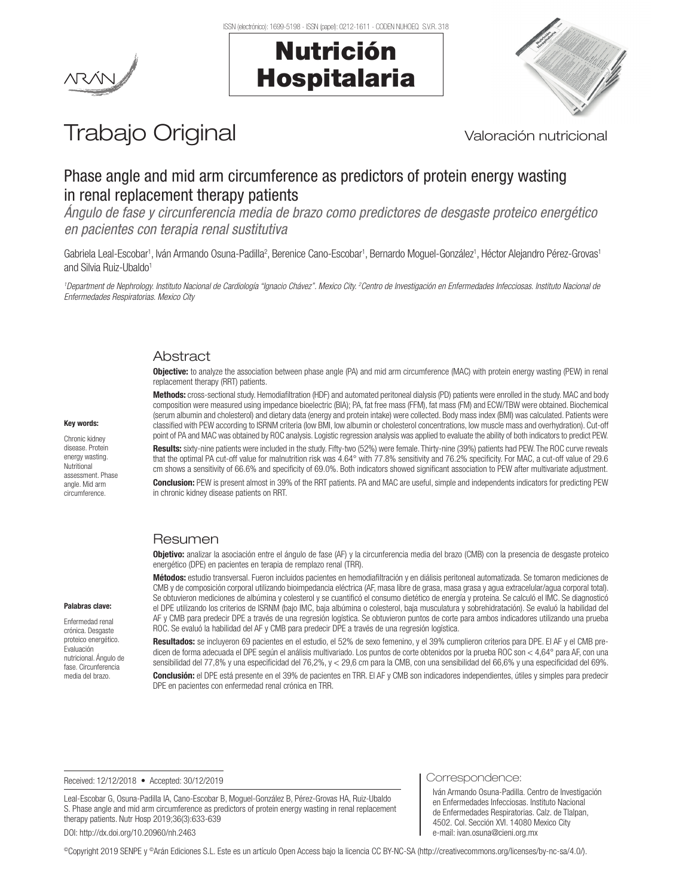Nutrición

Hospitalaria



# Trabajo Original Valoración nutricional

## Phase angle and mid arm circumference as predictors of protein energy wasting in renal replacement therapy patients

*Ángulo de fase y circunferencia media de brazo como predictores de desgaste proteico energético en pacientes con terapia renal sustitutiva*

Gabriela Leal-Escobar<sup>1</sup>, Iván Armando Osuna-Padilla<sup>2</sup>, Berenice Cano-Escobar<sup>1</sup>, Bernardo Moguel-González<sup>1</sup>, Héctor Alejandro Pérez-Grovas<sup>1</sup> and Silvia Ruiz-Ubaldo<sup>1</sup>

<sup>1</sup>Department de Nephrology. Instituto Nacional de Cardiología "Ignacio Chávez". Mexico City. <sup>2</sup>Centro de Investigación en Enfermedades Infecciosas. Instituto Nacional de *Enfermedades Respiratorias. Mexico City*

## Abstract

**Objective:** to analyze the association between phase angle (PA) and mid arm circumference (MAC) with protein energy wasting (PEW) in renal replacement therapy (RRT) patients.

Methods: cross-sectional study. Hemodiafiltration (HDF) and automated peritoneal dialysis (PD) patients were enrolled in the study. MAC and body composition were measured using impedance bioelectric (BIA); PA, fat free mass (FFM), fat mass (FM) and ECW/TBW were obtained. Biochemical (serum albumin and cholesterol) and dietary data (energy and protein intake) were collected. Body mass index (BMI) was calculated. Patients were classified with PEW according to ISRNM criteria (low BMI, low albumin or cholesterol concentrations, low muscle mass and overhydration). Cut-off point of PA and MAC was obtained by ROC analysis. Logistic regression analysis was applied to evaluate the ability of both indicators to predict PEW. Results: sixty-nine patients were included in the study. Fifty-two (52%) were female. Thirty-nine (39%) patients had PEW. The ROC curve reveals that the optimal PA cut-off value for malnutrition risk was 4.64° with 77.8% sensitivity and 76.2% specificity. For MAC, a cut-off value of 29.6 cm shows a sensitivity of 66.6% and specificity of 69.0%. Both indicators showed significant association to PEW after multivariate adjustment.

Conclusion: PEW is present almost in 39% of the RRT patients. PA and MAC are useful, simple and independents indicators for predicting PEW in chronic kidney disease patients on RRT.

#### Resumen

Objetivo: analizar la asociación entre el ángulo de fase (AF) y la circunferencia media del brazo (CMB) con la presencia de desgaste proteico energético (DPE) en pacientes en terapia de remplazo renal (TRR).

Métodos: estudio transversal. Fueron incluidos pacientes en hemodiafiltración y en diálisis peritoneal automatizada. Se tomaron mediciones de CMB y de composición corporal utilizando bioimpedancia eléctrica (AF, masa libre de grasa, masa grasa y agua extracelular/agua corporal total). Se obtuvieron mediciones de albúmina y colesterol y se cuantificó el consumo dietético de energía y proteína. Se calculó el IMC. Se diagnosticó el DPE utilizando los criterios de ISRNM (bajo IMC, baja albúmina o colesterol, baja musculatura y sobrehidratación). Se evaluó la habilidad del AF y CMB para predecir DPE a través de una regresión logística. Se obtuvieron puntos de corte para ambos indicadores utilizando una prueba ROC. Se evaluó la habilidad del AF y CMB para predecir DPE a través de una regresión logística.

Resultados: se incluyeron 69 pacientes en el estudio, el 52% de sexo femenino, y el 39% cumplieron criterios para DPE. El AF y el CMB predicen de forma adecuada el DPE según el análisis multivariado. Los puntos de corte obtenidos por la prueba ROC son < 4,64° para AF, con una sensibilidad del 77,8% y una especificidad del 76,2%, y < 29,6 cm para la CMB, con una sensibilidad del 66,6% y una especificidad del 69%.

Conclusión: el DPE está presente en el 39% de pacientes en TRR. El AF y CMB son indicadores independientes, útiles y simples para predecir DPE en pacientes con enfermedad renal crónica en TRR.

Received: 12/12/2018 • Accepted: 30/12/2019

Leal-Escobar G, Osuna-Padilla IA, Cano-Escobar B, Moguel-González B, Pérez-Grovas HA, Ruiz-Ubaldo S. Phase angle and mid arm circumference as predictors of protein energy wasting in renal replacement therapy patients. Nutr Hosp 2019;36(3):633-639 DOI: http://dx.doi.org/10.20960/nh.2463

Correspondence:

Iván Armando Osuna-Padilla. Centro de Investigación en Enfermedades Infecciosas. Instituto Nacional de Enfermedades Respiratorias. Calz. de Tlalpan, 4502. Col. Sección XVI. 14080 Mexico City e-mail: ivan.osuna@cieni.org.mx

#### Key words:

Chronic kidney disease. Protein energy wasting. **Nutritional** assessment. Phase angle. Mid arm circumference.

Palabras clave: Enfermedad renal crónica. Desgaste proteico energético. Evaluación nutricional. Ángulo de fase. Circunferencia media del brazo.

©Copyright 2019 SENPE y ©Arán Ediciones S.L. Este es un artículo Open Access bajo la licencia CC BY-NC-SA (http://creativecommons.org/licenses/by-nc-sa/4.0/).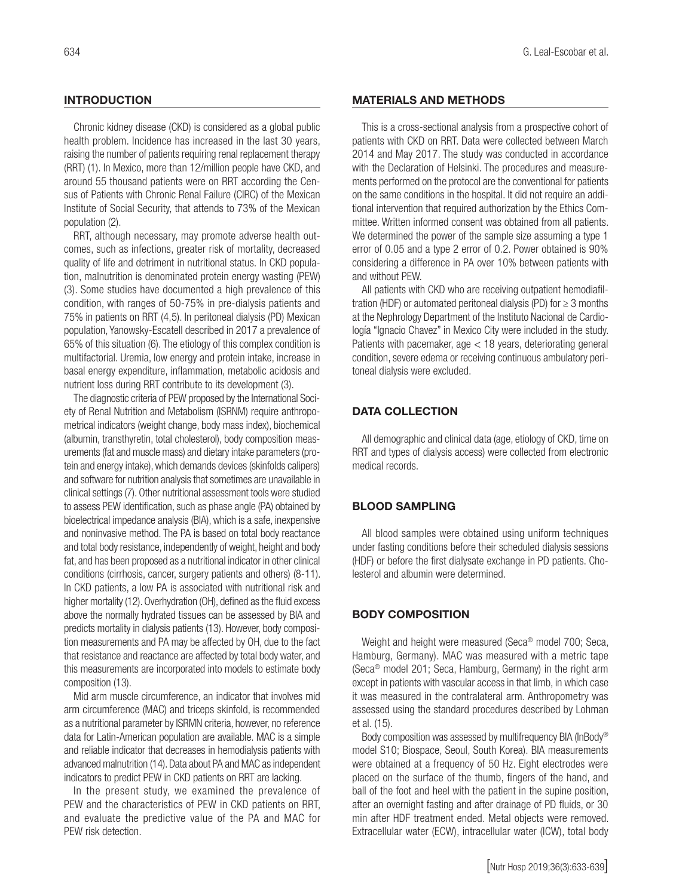## **INTRODUCTION**

Chronic kidney disease (CKD) is considered as a global public health problem. Incidence has increased in the last 30 years, raising the number of patients requiring renal replacement therapy (RRT) (1). In Mexico, more than 12/million people have CKD, and around 55 thousand patients were on RRT according the Census of Patients with Chronic Renal Failure (CIRC) of the Mexican Institute of Social Security, that attends to 73% of the Mexican population (2).

RRT, although necessary, may promote adverse health outcomes, such as infections, greater risk of mortality, decreased quality of life and detriment in nutritional status. In CKD population, malnutrition is denominated protein energy wasting (PEW) (3). Some studies have documented a high prevalence of this condition, with ranges of 50-75% in pre-dialysis patients and 75% in patients on RRT (4,5). In peritoneal dialysis (PD) Mexican population, Yanowsky-Escatell described in 2017 a prevalence of 65% of this situation (6). The etiology of this complex condition is multifactorial. Uremia, low energy and protein intake, increase in basal energy expenditure, inflammation, metabolic acidosis and nutrient loss during RRT contribute to its development (3).

The diagnostic criteria of PEW proposed by the International Society of Renal Nutrition and Metabolism (ISRNM) require anthropometrical indicators (weight change, body mass index), biochemical (albumin, transthyretin, total cholesterol), body composition measurements (fat and muscle mass) and dietary intake parameters (protein and energy intake), which demands devices (skinfolds calipers) and software for nutrition analysis that sometimes are unavailable in clinical settings (7). Other nutritional assessment tools were studied to assess PEW identification, such as phase angle (PA) obtained by bioelectrical impedance analysis (BIA), which is a safe, inexpensive and noninvasive method. The PA is based on total body reactance and total body resistance, independently of weight, height and body fat, and has been proposed as a nutritional indicator in other clinical conditions (cirrhosis, cancer, surgery patients and others) (8-11). In CKD patients, a low PA is associated with nutritional risk and higher mortality (12). Overhydration (OH), defined as the fluid excess above the normally hydrated tissues can be assessed by BIA and predicts mortality in dialysis patients (13). However, body composition measurements and PA may be affected by OH, due to the fact that resistance and reactance are affected by total body water, and this measurements are incorporated into models to estimate body composition (13).

Mid arm muscle circumference, an indicator that involves mid arm circumference (MAC) and triceps skinfold, is recommended as a nutritional parameter by ISRMN criteria, however, no reference data for Latin-American population are available. MAC is a simple and reliable indicator that decreases in hemodialysis patients with advanced malnutrition (14). Data about PA and MAC as independent indicators to predict PEW in CKD patients on RRT are lacking.

In the present study, we examined the prevalence of PEW and the characteristics of PEW in CKD patients on RRT, and evaluate the predictive value of the PA and MAC for PEW risk detection.

#### MATERIALS AND METHODS

This is a cross-sectional analysis from a prospective cohort of patients with CKD on RRT. Data were collected between March 2014 and May 2017. The study was conducted in accordance with the Declaration of Helsinki. The procedures and measurements performed on the protocol are the conventional for patients on the same conditions in the hospital. It did not require an additional intervention that required authorization by the Ethics Committee. Written informed consent was obtained from all patients. We determined the power of the sample size assuming a type 1 error of 0.05 and a type 2 error of 0.2. Power obtained is 90% considering a difference in PA over 10% between patients with and without PEW.

All patients with CKD who are receiving outpatient hemodiafiltration (HDF) or automated peritoneal dialysis (PD) for  $\geq 3$  months at the Nephrology Department of the Instituto Nacional de Cardiología "Ignacio Chavez" in Mexico City were included in the study. Patients with pacemaker, age < 18 years, deteriorating general condition, severe edema or receiving continuous ambulatory peritoneal dialysis were excluded.

### DATA COLLECTION

All demographic and clinical data (age, etiology of CKD, time on RRT and types of dialysis access) were collected from electronic medical records.

### BLOOD SAMPLING

All blood samples were obtained using uniform techniques under fasting conditions before their scheduled dialysis sessions (HDF) or before the first dialysate exchange in PD patients. Cholesterol and albumin were determined.

#### BODY COMPOSITION

Weight and height were measured (Seca® model 700; Seca, Hamburg, Germany). MAC was measured with a metric tape (Seca® model 201; Seca, Hamburg, Germany) in the right arm except in patients with vascular access in that limb, in which case it was measured in the contralateral arm. Anthropometry was assessed using the standard procedures described by Lohman et al. (15).

Body composition was assessed by multifrequency BIA (InBody® model S10; Biospace, Seoul, South Korea). BIA measurements were obtained at a frequency of 50 Hz. Eight electrodes were placed on the surface of the thumb, fingers of the hand, and ball of the foot and heel with the patient in the supine position, after an overnight fasting and after drainage of PD fluids, or 30 min after HDF treatment ended. Metal objects were removed. Extracellular water (ECW), intracellular water (ICW), total body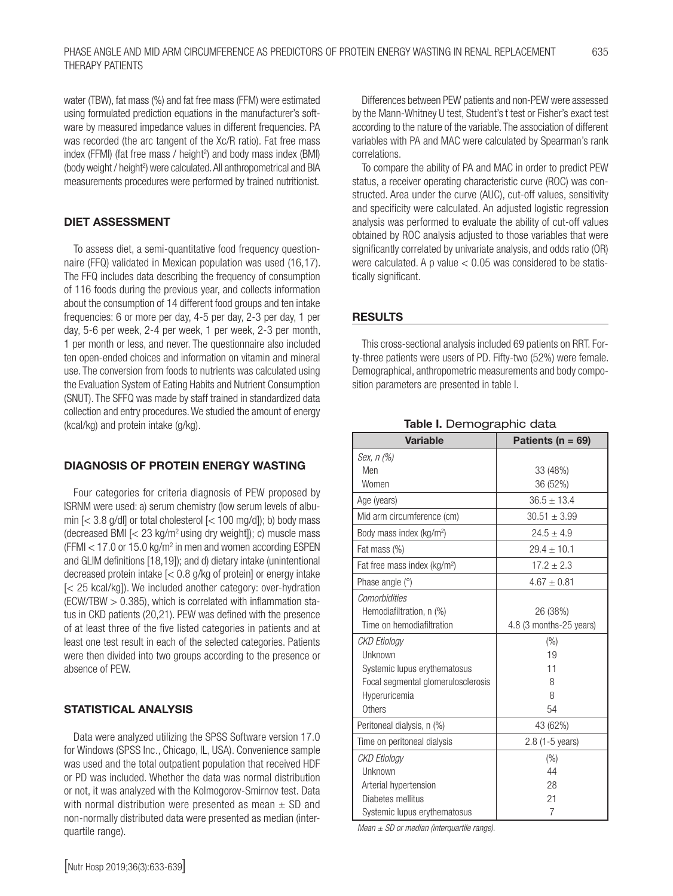water (TBW), fat mass (%) and fat free mass (FFM) were estimated using formulated prediction equations in the manufacturer's software by measured impedance values in different frequencies. PA was recorded (the arc tangent of the Xc/R ratio). Fat free mass index (FFMI) (fat free mass / height<sup>2</sup>) and body mass index (BMI) (body weight / height<sup>2</sup>) were calculated. All anthropometrical and BIA measurements procedures were performed by trained nutritionist.

## DIET ASSESSMENT

To assess diet, a semi-quantitative food frequency questionnaire (FFQ) validated in Mexican population was used (16,17). The FFQ includes data describing the frequency of consumption of 116 foods during the previous year, and collects information about the consumption of 14 different food groups and ten intake frequencies: 6 or more per day, 4-5 per day, 2-3 per day, 1 per day, 5-6 per week, 2-4 per week, 1 per week, 2-3 per month, 1 per month or less, and never. The questionnaire also included ten open-ended choices and information on vitamin and mineral use. The conversion from foods to nutrients was calculated using the Evaluation System of Eating Habits and Nutrient Consumption (SNUT). The SFFQ was made by staff trained in standardized data collection and entry procedures. We studied the amount of energy (kcal/kg) and protein intake (g/kg).

#### DIAGNOSIS OF PROTEIN ENERGY WASTING

Four categories for criteria diagnosis of PEW proposed by ISRNM were used: a) serum chemistry (low serum levels of albumin  $\left[$  < 3.8 g/dl] or total cholesterol  $\left[$  < 100 mg/d]); b) body mass (decreased BMI  $\zeta$  23 kg/m<sup>2</sup> using dry weight); c) muscle mass  $(FFMI < 17.0$  or 15.0 kg/m<sup>2</sup> in men and women according ESPEN and GLIM definitions [18,19]); and d) dietary intake (unintentional decreased protein intake [< 0.8 g/kg of protein] or energy intake [< 25 kcal/kg]). We included another category: over-hydration  $(ECW/TBW > 0.385)$ , which is correlated with inflammation status in CKD patients (20,21). PEW was defined with the presence of at least three of the five listed categories in patients and at least one test result in each of the selected categories. Patients were then divided into two groups according to the presence or absence of PEW.

#### STATISTICAL ANALYSIS

Data were analyzed utilizing the SPSS Software version 17.0 for Windows (SPSS Inc., Chicago, IL, USA). Convenience sample was used and the total outpatient population that received HDF or PD was included. Whether the data was normal distribution or not, it was analyzed with the Kolmogorov-Smirnov test. Data with normal distribution were presented as mean  $\pm$  SD and non-normally distributed data were presented as median (interquartile range).

Differences between PEW patients and non-PEW were assessed by the Mann-Whitney U test, Student's t test or Fisher's exact test according to the nature of the variable. The association of different variables with PA and MAC were calculated by Spearman's rank correlations.

To compare the ability of PA and MAC in order to predict PEW status, a receiver operating characteristic curve (ROC) was constructed. Area under the curve (AUC), cut-off values, sensitivity and specificity were calculated. An adjusted logistic regression analysis was performed to evaluate the ability of cut-off values obtained by ROC analysis adjusted to those variables that were significantly correlated by univariate analysis, and odds ratio (OR) were calculated. A p value  $< 0.05$  was considered to be statistically significant.

## **RESULTS**

This cross-sectional analysis included 69 patients on RRT. Forty-three patients were users of PD. Fifty-two (52%) were female. Demographical, anthropometric measurements and body composition parameters are presented in table I.

| <b>Variable</b>                          | Patients ( $n = 69$ )   |
|------------------------------------------|-------------------------|
| Sex, n (%)                               |                         |
| Men                                      | 33 (48%)                |
| Women                                    | 36 (52%)                |
| Age (years)                              | $36.5 \pm 13.4$         |
| Mid arm circumference (cm)               | $30.51 \pm 3.99$        |
| Body mass index (kg/m <sup>2</sup> )     | $24.5 + 4.9$            |
| Fat mass (%)                             | $29.4 \pm 10.1$         |
| Fat free mass index (kg/m <sup>2</sup> ) | $17.2 + 2.3$            |
| Phase angle (°)                          | $4.67 \pm 0.81$         |
| Comorbidities                            |                         |
| Hemodiafiltration, n (%)                 | 26 (38%)                |
| Time on hemodiafiltration                | 4.8 (3 months-25 years) |
| <b>CKD Etiology</b>                      | (%)                     |
| Unknown                                  | 19                      |
| Systemic lupus erythematosus             | 11                      |
| Focal segmental glomerulosclerosis       | 8                       |
| Hyperuricemia                            | 8                       |
| Others                                   | 54                      |
| Peritoneal dialysis, n (%)               | 43 (62%)                |
| Time on peritoneal dialysis              | $2.8$ (1-5 years)       |
| <b>CKD Etiology</b>                      | $(\% )$                 |
| Unknown                                  | 44                      |
| Arterial hypertension                    | 28                      |
| Diabetes mellitus                        | 21                      |
| Systemic lupus erythematosus             | 7                       |

Table I. Demographic data

*Mean ± SD or median (interquartile range).*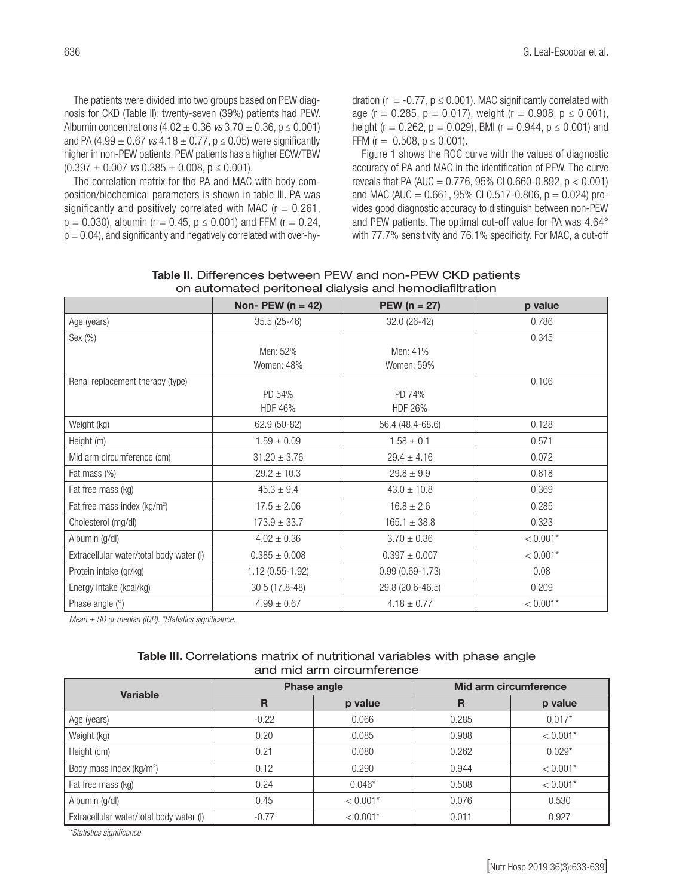The patients were divided into two groups based on PEW diagnosis for CKD (Table II): twenty-seven (39%) patients had PEW. Albumin concentrations (4.02 ± 0.36 *vs* 3.70 ± 0.36, p ≤ 0.001) and PA (4.99  $\pm$  0.67 *vs* 4.18  $\pm$  0.77, p  $\leq$  0.05) were significantly higher in non-PEW patients. PEW patients has a higher ECW/TBW  $(0.397 \pm 0.007 \text{ vs } 0.385 \pm 0.008, p \le 0.001).$ 

The correlation matrix for the PA and MAC with body composition/biochemical parameters is shown in table III. PA was significantly and positively correlated with MAC ( $r = 0.261$ ,  $p = 0.030$ , albumin (r = 0.45,  $p \le 0.001$ ) and FFM (r = 0.24,  $p = 0.04$ ), and significantly and negatively correlated with over-hydration ( $r = -0.77$ ,  $p \le 0.001$ ). MAC significantly correlated with age (r = 0.285, p = 0.017), weight (r = 0.908, p  $\leq$  0.001), height ( $r = 0.262$ ,  $p = 0.029$ ), BMI ( $r = 0.944$ ,  $p \le 0.001$ ) and FFM ( $r = 0.508$ ,  $p \le 0.001$ ).

Figure 1 shows the ROC curve with the values of diagnostic accuracy of PA and MAC in the identification of PEW. The curve reveals that PA (AUC =  $0.776$ , 95% CI 0.660-0.892, p < 0.001) and MAC (AUC =  $0.661$ , 95% CI 0.517-0.806, p = 0.024) provides good diagnostic accuracy to distinguish between non-PEW and PEW patients. The optimal cut-off value for PA was 4.64° with 77.7% sensitivity and 76.1% specificity. For MAC, a cut-off

|                                          | Non- PEW ( $n = 42$ ) | <b>PEW</b> ( $n = 27$ ) | p value    |  |  |  |
|------------------------------------------|-----------------------|-------------------------|------------|--|--|--|
| Age (years)                              | 35.5 (25-46)          | 32.0 (26-42)            | 0.786      |  |  |  |
| Sex (%)                                  |                       |                         | 0.345      |  |  |  |
|                                          | Men: 52%              | Men: 41%                |            |  |  |  |
|                                          | Women: 48%            | Women: 59%              |            |  |  |  |
| Renal replacement therapy (type)         |                       |                         | 0.106      |  |  |  |
|                                          | PD 54%                | PD 74%                  |            |  |  |  |
|                                          | HDF 46%               | <b>HDF 26%</b>          |            |  |  |  |
| Weight (kg)                              | 62.9 (50-82)          | 56.4 (48.4-68.6)        |            |  |  |  |
| Height (m)                               | $1.59 \pm 0.09$       | $1.58 \pm 0.1$          | 0.571      |  |  |  |
| Mid arm circumference (cm)               | $31.20 \pm 3.76$      | $29.4 \pm 4.16$         | 0.072      |  |  |  |
| Fat mass (%)                             | $29.2 \pm 10.3$       | $29.8 \pm 9.9$          | 0.818      |  |  |  |
| Fat free mass (kg)                       | $45.3 \pm 9.4$        | $43.0 \pm 10.8$         | 0.369      |  |  |  |
| Fat free mass index (kg/m <sup>2</sup> ) | $17.5 \pm 2.06$       | $16.8 \pm 2.6$          | 0.285      |  |  |  |
| Cholesterol (mg/dl)                      | $173.9 \pm 33.7$      | $165.1 \pm 38.8$        | 0.323      |  |  |  |
| Albumin (g/dl)                           | $4.02 \pm 0.36$       | $3.70 \pm 0.36$         | $< 0.001*$ |  |  |  |
| Extracellular water/total body water (I) | $0.385 \pm 0.008$     | $0.397 \pm 0.007$       | $< 0.001*$ |  |  |  |
| Protein intake (gr/kg)                   | 1.12 (0.55-1.92)      | $0.99(0.69 - 1.73)$     | 0.08       |  |  |  |
| Energy intake (kcal/kg)                  | 30.5 (17.8-48)        | 29.8 (20.6-46.5)        | 0.209      |  |  |  |
| Phase angle (°)                          | $4.99 \pm 0.67$       | $4.18 \pm 0.77$         | $< 0.001*$ |  |  |  |

| Table II. Differences between PEW and non-PEW CKD patients |
|------------------------------------------------------------|
| on automated peritoneal dialysis and hemodiafiltration     |

*Mean ± SD or median (IQR). \*Statistics significance.*

#### Table III. Correlations matrix of nutritional variables with phase angle and mid arm circumference

| <b>Variable</b>                          |         | <b>Phase angle</b> | Mid arm circumference |            |  |
|------------------------------------------|---------|--------------------|-----------------------|------------|--|
|                                          | R       | p value            | $\mathbf R$           | p value    |  |
| Age (years)                              | $-0.22$ | 0.066              | 0.285                 | $0.017*$   |  |
| Weight (kg)                              | 0.20    | 0.085              | 0.908                 | $< 0.001*$ |  |
| Height (cm)                              | 0.21    | 0.080              | 0.262                 | $0.029*$   |  |
| Body mass index (kg/m <sup>2</sup> )     | 0.12    | 0.290              | 0.944                 | $< 0.001*$ |  |
| Fat free mass (kg)                       | 0.24    | $0.046*$           | 0.508                 | $< 0.001*$ |  |
| Albumin (g/dl)                           | 0.45    | $< 0.001*$         | 0.076                 | 0.530      |  |
| Extracellular water/total body water (I) | $-0.77$ | $< 0.001*$         | 0.011                 | 0.927      |  |

*\*Statistics significance.*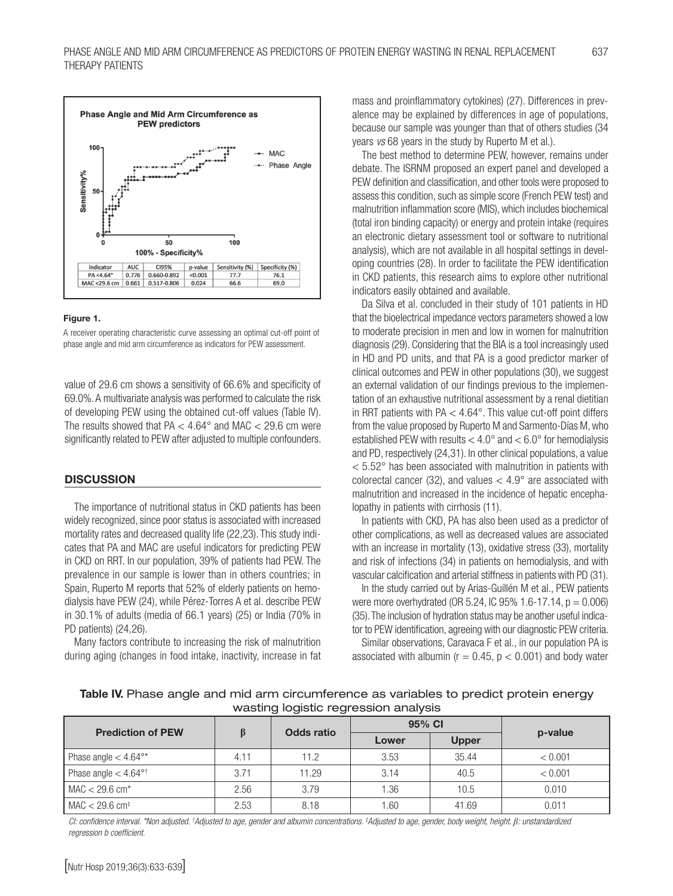

#### Figure 1.

A receiver operating characteristic curve assessing an optimal cut-off point of phase angle and mid arm circumference as indicators for PEW assessment.

value of 29.6 cm shows a sensitivity of 66.6% and specificity of 69.0%. A multivariate analysis was performed to calculate the risk of developing PEW using the obtained cut-off values (Table IV). The results showed that  $PA < 4.64^{\circ}$  and MAC  $< 29.6$  cm were significantly related to PEW after adjusted to multiple confounders.

#### **DISCUSSION**

The importance of nutritional status in CKD patients has been widely recognized, since poor status is associated with increased mortality rates and decreased quality life (22,23). This study indicates that PA and MAC are useful indicators for predicting PEW in CKD on RRT. In our population, 39% of patients had PEW. The prevalence in our sample is lower than in others countries; in Spain, Ruperto M reports that 52% of elderly patients on hemodialysis have PEW (24), while Pérez-Torres A et al. describe PEW in 30.1% of adults (media of 66.1 years) (25) or India (70% in PD patients) (24,26).

Many factors contribute to increasing the risk of malnutrition during aging (changes in food intake, inactivity, increase in fat mass and proinflammatory cytokines) (27). Differences in prevalence may be explained by differences in age of populations, because our sample was younger than that of others studies (34 years *vs* 68 years in the study by Ruperto M et al.).

The best method to determine PEW, however, remains under debate. The ISRNM proposed an expert panel and developed a PEW definition and classification, and other tools were proposed to assess this condition, such as simple score (French PEW test) and malnutrition inflammation score (MIS), which includes biochemical (total iron binding capacity) or energy and protein intake (requires an electronic dietary assessment tool or software to nutritional analysis), which are not available in all hospital settings in developing countries (28). In order to facilitate the PEW identification in CKD patients, this research aims to explore other nutritional indicators easily obtained and available.

Da Silva et al. concluded in their study of 101 patients in HD that the bioelectrical impedance vectors parameters showed a low to moderate precision in men and low in women for malnutrition diagnosis (29). Considering that the BIA is a tool increasingly used in HD and PD units, and that PA is a good predictor marker of clinical outcomes and PEW in other populations (30), we suggest an external validation of our findings previous to the implementation of an exhaustive nutritional assessment by a renal dietitian in RRT patients with PA < 4.64°. This value cut-off point differs from the value proposed by Ruperto M and Sarmento-Días M, who established PEW with results  $< 4.0^{\circ}$  and  $< 6.0^{\circ}$  for hemodialysis and PD, respectively (24,31). In other clinical populations, a value  $< 5.52$ ° has been associated with malnutrition in patients with colorectal cancer (32), and values  $<$  4.9 $^{\circ}$  are associated with malnutrition and increased in the incidence of hepatic encephalopathy in patients with cirrhosis (11).

In patients with CKD, PA has also been used as a predictor of other complications, as well as decreased values are associated with an increase in mortality (13), oxidative stress (33), mortality and risk of infections (34) in patients on hemodialysis, and with vascular calcification and arterial stiffness in patients with PD (31).

In the study carried out by Arias-Guillén M et al., PEW patients were more overhydrated (OR 5.24, IC 95% 1.6-17.14,  $p = 0.006$ ) (35). The inclusion of hydration status may be another useful indicator to PEW identification, agreeing with our diagnostic PEW criteria.

Similar observations, Caravaca F et al., in our population PA is associated with albumin ( $r = 0.45$ ,  $p < 0.001$ ) and body water

| <b>Prediction of PEW</b>            |      | <b>Odds ratio</b> | 95% CI |              |         |
|-------------------------------------|------|-------------------|--------|--------------|---------|
|                                     |      |                   | Lower  | <b>Upper</b> | p-value |
| Phase angle $< 4.64^{\circ*}$       | 4.11 | 11.2              | 3.53   | 35.44        | < 0.001 |
| Phase angle $< 4.64$ ° <sup>†</sup> | 3.71 | 11.29             | 3.14   | 40.5         | < 0.001 |
| $MAC < 29.6$ cm*                    | 2.56 | 3.79              | 1.36   | 10.5         | 0.010   |
| $MAC < 29.6$ cm <sup>‡</sup>        | 2.53 | 8.18              | 1.60   | 41.69        | 0.011   |

Table IV. Phase angle and mid arm circumference as variables to predict protein energy wasting logistic regression analysis

*CI: confidence interval. \*Non adjusted. † Adjusted to age, gender and albumin concentrations. ‡ Adjusted to age, gender, body weight, height. β: unstandardized regression b coefficient.*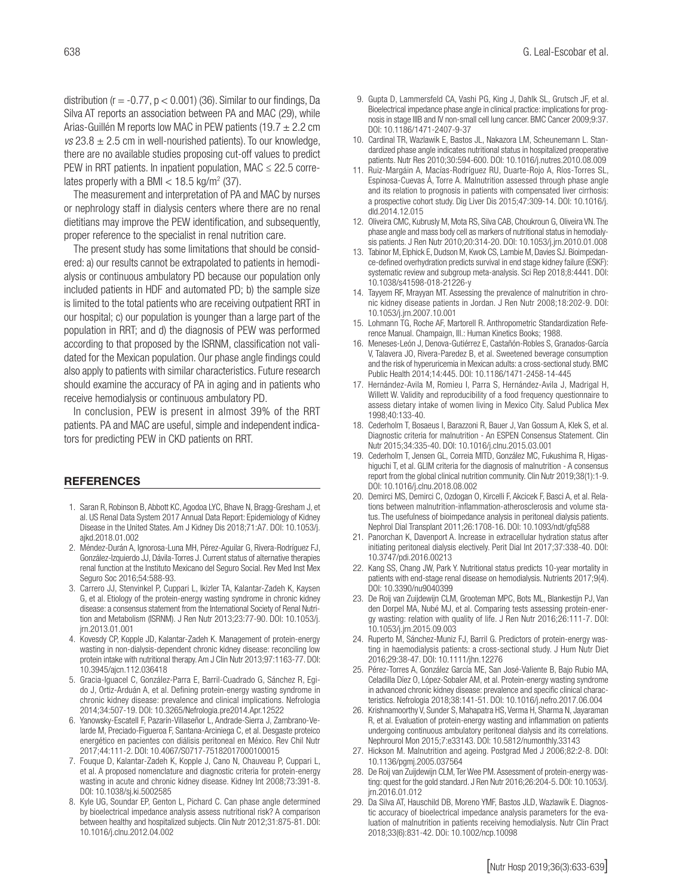distribution ( $r = -0.77$ ,  $p < 0.001$ ) (36). Similar to our findings, Da Silva AT reports an association between PA and MAC (29), while Arias-Guillén M reports low MAC in PEW patients (19.7  $\pm$  2.2 cm *vs*  $23.8 \pm 2.5$  cm in well-nourished patients). To our knowledge, there are no available studies proposing cut-off values to predict PEW in RRT patients. In inpatient population, MAC  $\leq$  22.5 correlates properly with a BMI  $<$  18.5 kg/m<sup>2</sup> (37).

The measurement and interpretation of PA and MAC by nurses or nephrology staff in dialysis centers where there are no renal dietitians may improve the PEW identification, and subsequently, proper reference to the specialist in renal nutrition care.

The present study has some limitations that should be considered: a) our results cannot be extrapolated to patients in hemodialysis or continuous ambulatory PD because our population only included patients in HDF and automated PD; b) the sample size is limited to the total patients who are receiving outpatient RRT in our hospital; c) our population is younger than a large part of the population in RRT; and d) the diagnosis of PEW was performed according to that proposed by the ISRNM, classification not validated for the Mexican population. Our phase angle findings could also apply to patients with similar characteristics. Future research should examine the accuracy of PA in aging and in patients who receive hemodialysis or continuous ambulatory PD.

In conclusion, PEW is present in almost 39% of the RRT patients. PA and MAC are useful, simple and independent indicators for predicting PEW in CKD patients on RRT.

#### **REFERENCES**

- 1. Saran R, Robinson B, Abbott KC, Agodoa LYC, Bhave N, Bragg-Gresham J, et al. US Renal Data System 2017 Annual Data Report: Epidemiology of Kidney Disease in the United States. Am J Kidney Dis 2018;71:A7. DOI: 10.1053/j. ajkd.2018.01.002
- 2. Méndez-Durán A, Ignorosa-Luna MH, Pérez-Aguilar G, Rivera-Rodríguez FJ, González-Izquierdo JJ, Dávila-Torres J. Current status of alternative therapies renal function at the Instituto Mexicano del Seguro Social. Rev Med Inst Mex Seguro Soc 2016;54:588-93.
- 3. Carrero JJ, Stenvinkel P, Cuppari L, Ikizler TA, Kalantar-Zadeh K, Kaysen G, et al. Etiology of the protein-energy wasting syndrome in chronic kidney disease: a consensus statement from the International Society of Renal Nutrition and Metabolism (ISRNM). J Ren Nutr 2013;23:77-90. DOI: 10.1053/j. jrn.2013.01.001
- 4. Kovesdy CP, Kopple JD, Kalantar-Zadeh K. Management of protein-energy wasting in non-dialysis-dependent chronic kidney disease: reconciling low protein intake with nutritional therapy. Am J Clin Nutr 2013;97:1163-77. DOI: 10.3945/ajcn.112.036418
- 5. Gracia-Iguacel C, González-Parra E, Barril-Cuadrado G, Sánchez R, Egido J, Ortiz-Arduán A, et al. Defining protein-energy wasting syndrome in chronic kidney disease: prevalence and clinical implications. Nefrologia 2014;34:507-19. DOI: 10.3265/Nefrologia.pre2014.Apr.12522
- 6. Yanowsky-Escatell F, Pazarín-Villaseñor L, Andrade-Sierra J, Zambrano-Velarde M, Preciado-Figueroa F, Santana-Arciniega C, et al. Desgaste proteico energético en pacientes con diálisis peritoneal en México. Rev Chil Nutr 2017;44:111-2. DOI: 10.4067/S0717-75182017000100015
- 7. Fouque D, Kalantar-Zadeh K, Kopple J, Cano N, Chauveau P, Cuppari L, et al. A proposed nomenclature and diagnostic criteria for protein-energy wasting in acute and chronic kidney disease. Kidney Int 2008;73:391-8. DOI: 10.1038/sj.ki.5002585
- 8. Kyle UG, Soundar EP, Genton L, Pichard C. Can phase angle determined by bioelectrical impedance analysis assess nutritional risk? A comparison between healthy and hospitalized subjects. Clin Nutr 2012;31:875-81. DOI: 10.1016/j.clnu.2012.04.002
- 9. Gupta D, Lammersfeld CA, Vashi PG, King J, Dahlk SL, Grutsch JF, et al. Bioelectrical impedance phase angle in clinical practice: implications for prognosis in stage IIIB and IV non-small cell lung cancer. BMC Cancer 2009;9:37. DOI: 10.1186/1471-2407-9-37
- 10. Cardinal TR, Wazlawik E, Bastos JL, Nakazora LM, Scheunemann L. Standardized phase angle indicates nutritional status in hospitalized preoperative patients. Nutr Res 2010;30:594-600. DOI: 10.1016/j.nutres.2010.08.009
- 11. Ruiz-Margáin A, Macías-Rodríguez RU, Duarte-Rojo A, Ríos-Torres SL, Espinosa-Cuevas Á, Torre A. Malnutrition assessed through phase angle and its relation to prognosis in patients with compensated liver cirrhosis: a prospective cohort study. Dig Liver Dis 2015;47:309-14. DOI: 10.1016/j. dld.2014.12.015
- 12. Oliveira CMC, Kubrusly M, Mota RS, Silva CAB, Choukroun G, Oliveira VN. The phase angle and mass body cell as markers of nutritional status in hemodialysis patients. J Ren Nutr 2010;20:314-20. DOI: 10.1053/j.jrn.2010.01.008
- 13. Tabinor M, Elphick E, Dudson M, Kwok CS, Lambie M, Davies SJ. Bioimpedance-defined overhydration predicts survival in end stage kidney failure (ESKF): systematic review and subgroup meta-analysis. Sci Rep 2018;8:4441. DOI: 10.1038/s41598-018-21226-y
- 14. Tayyem RF, Mrayyan MT. Assessing the prevalence of malnutrition in chronic kidney disease patients in Jordan. J Ren Nutr 2008;18:202-9. DOI: 10.1053/j.jrn.2007.10.001
- 15. Lohmann TG, Roche AF, Martorell R. Anthropometric Standardization Reference Manual. Champaign, Ill.: Human Kinetics Books; 1988.
- 16. Meneses-León J, Denova-Gutiérrez E, Castañón-Robles S, Granados-García V, Talavera JO, Rivera-Paredez B, et al. Sweetened beverage consumption and the risk of hyperuricemia in Mexican adults: a cross-sectional study. BMC Public Health 2014;14:445. DOI: 10.1186/1471-2458-14-445
- 17. Hernández-Avila M, Romieu I, Parra S, Hernández-Avila J, Madrigal H, Willett W. Validity and reproducibility of a food frequency questionnaire to assess dietary intake of women living in Mexico City. Salud Publica Mex 1998;40:133-40.
- 18. Cederholm T, Bosaeus I, Barazzoni R, Bauer J, Van Gossum A, Klek S, et al. Diagnostic criteria for malnutrition - An ESPEN Consensus Statement. Clin Nutr 2015;34:335-40. DOI: 10.1016/j.clnu.2015.03.001
- 19. Cederholm T, Jensen GL, Correia MITD, González MC, Fukushima R, Higashiguchi T, et al. GLIM criteria for the diagnosis of malnutrition - A consensus report from the global clinical nutrition community. Clin Nutr 2019;38(1):1-9. DOI: 10.1016/j.clnu.2018.08.002
- 20. Demirci MS, Demirci C, Ozdogan O, Kircelli F, Akcicek F, Basci A, et al. Relations between malnutrition-inflammation-atherosclerosis and volume status. The usefulness of bioimpedance analysis in peritoneal dialysis patients. Nephrol Dial Transplant 2011;26:1708-16. DOI: 10.1093/ndt/gfq588
- 21. Panorchan K, Davenport A. Increase in extracellular hydration status after initiating peritoneal dialysis electively. Perit Dial Int 2017;37:338-40. DOI: 10.3747/pdi.2016.00213
- 22. Kang SS, Chang JW, Park Y, Nutritional status predicts 10-year mortality in patients with end-stage renal disease on hemodialysis. Nutrients 2017;9(4). DOI: 10.3390/nu9040399
- 23. De Roij van Zuijdewijn CLM, Grooteman MPC, Bots ML, Blankestijn PJ, Van den Dorpel MA, Nubé MJ, et al. Comparing tests assessing protein-energy wasting: relation with quality of life. J Ren Nutr 2016;26:111-7. DOI: 10.1053/j.jrn.2015.09.003
- 24. Ruperto M, Sánchez-Muniz FJ, Barril G. Predictors of protein-energy wasting in haemodialysis patients: a cross-sectional study. J Hum Nutr Diet 2016;29:38-47. DOI: 10.1111/jhn.12276
- 25. Pérez-Torres A, González García ME, San José-Valiente B, Bajo Rubio MA, Celadilla Díez O, López-Sobaler AM, et al. Protein-energy wasting syndrome in advanced chronic kidney disease: prevalence and specific clinical characteristics. Nefrologia 2018;38:141-51. DOI: 10.1016/j.nefro.2017.06.004
- 26. Krishnamoorthy V, Sunder S, Mahapatra HS, Verma H, Sharma N, Jayaraman R, et al. Evaluation of protein-energy wasting and inflammation on patients undergoing continuous ambulatory peritoneal dialysis and its correlations. Nephrourol Mon 2015;7:e33143. DOI: 10.5812/numonthly.33143
- 27. Hickson M. Malnutrition and ageing. Postgrad Med J 2006;82:2-8. DOI: 10.1136/pgmj.2005.037564
- 28. De Roij van Zuijdewijn CLM, Ter Wee PM. Assessment of protein-energy wasting: quest for the gold standard. J Ren Nutr 2016;26:204-5. DOI: 10.1053/j. jrn.2016.01.012
- 29. Da Silva AT, Hauschild DB, Moreno YMF, Bastos JLD, Wazlawik E. Diagnostic accuracy of bioelectrical impedance analysis parameters for the evaluation of malnutrition in patients receiving hemodialysis. Nutr Clin Pract 2018;33(6):831-42. DOi: 10.1002/ncp.10098